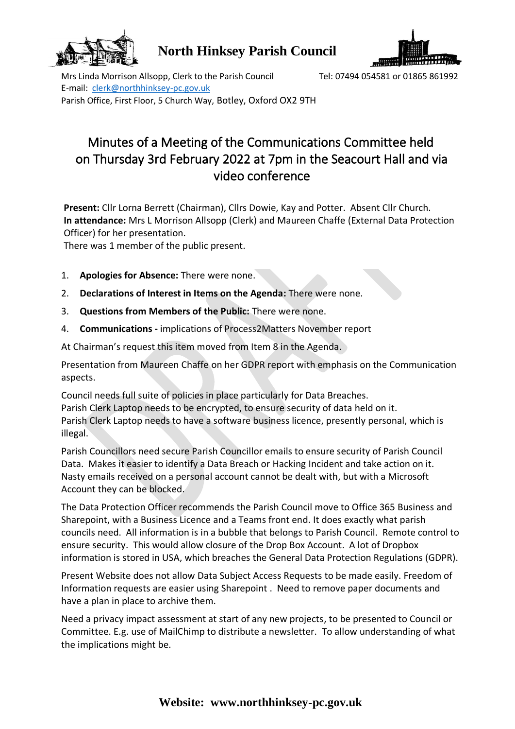

**North Hinksey Parish Council**



Mrs Linda Morrison Allsopp, Clerk to the Parish Council Tel: 07494 054581 or 01865 861992 E-mail: clerk@northhinksey-pc.gov.uk Parish Office, First Floor, 5 Church Way, Botley, Oxford OX2 9TH

## Minutes of a Meeting of the Communications Committee held on Thursday 3rd February 2022 at 7pm in the Seacourt Hall and via video conference

**Present:** Cllr Lorna Berrett (Chairman), Cllrs Dowie, Kay and Potter. Absent Cllr Church. **In attendance:** Mrs L Morrison Allsopp (Clerk) and Maureen Chaffe (External Data Protection Officer) for her presentation.

There was 1 member of the public present.

- 1. **Apologies for Absence:** There were none.
- 2. **Declarations of Interest in Items on the Agenda:** There were none.
- 3. **Questions from Members of the Public:** There were none.
- 4. **Communications -** implications of Process2Matters November report

At Chairman's request this item moved from Item 8 in the Agenda.

Presentation from Maureen Chaffe on her GDPR report with emphasis on the Communication aspects.

Council needs full suite of policies in place particularly for Data Breaches. Parish Clerk Laptop needs to be encrypted, to ensure security of data held on it. Parish Clerk Laptop needs to have a software business licence, presently personal, which is illegal.

Parish Councillors need secure Parish Councillor emails to ensure security of Parish Council Data. Makes it easier to identify a Data Breach or Hacking Incident and take action on it. Nasty emails received on a personal account cannot be dealt with, but with a Microsoft Account they can be blocked.

The Data Protection Officer recommends the Parish Council move to Office 365 Business and Sharepoint, with a Business Licence and a Teams front end. It does exactly what parish councils need. All information is in a bubble that belongs to Parish Council. Remote control to ensure security. This would allow closure of the Drop Box Account. A lot of Dropbox information is stored in USA, which breaches the General Data Protection Regulations (GDPR).

Present Website does not allow Data Subject Access Requests to be made easily. Freedom of Information requests are easier using Sharepoint . Need to remove paper documents and have a plan in place to archive them.

Need a privacy impact assessment at start of any new projects, to be presented to Council or Committee. E.g. use of MailChimp to distribute a newsletter. To allow understanding of what the implications might be.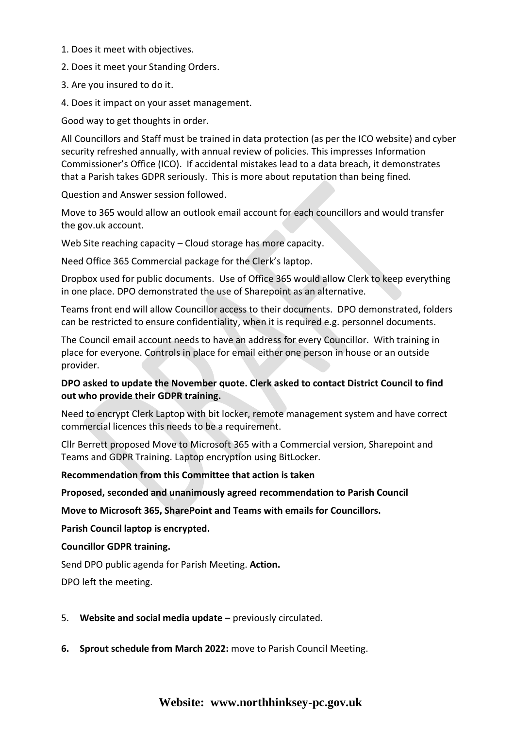- 1. Does it meet with objectives.
- 2. Does it meet your Standing Orders.
- 3. Are you insured to do it.
- 4. Does it impact on your asset management.

Good way to get thoughts in order.

All Councillors and Staff must be trained in data protection (as per the ICO website) and cyber security refreshed annually, with annual review of policies. This impresses Information Commissioner's Office (ICO). If accidental mistakes lead to a data breach, it demonstrates that a Parish takes GDPR seriously. This is more about reputation than being fined.

Question and Answer session followed.

Move to 365 would allow an outlook email account for each councillors and would transfer the gov.uk account.

Web Site reaching capacity – Cloud storage has more capacity.

Need Office 365 Commercial package for the Clerk's laptop.

Dropbox used for public documents. Use of Office 365 would allow Clerk to keep everything in one place. DPO demonstrated the use of Sharepoint as an alternative.

Teams front end will allow Councillor access to their documents. DPO demonstrated, folders can be restricted to ensure confidentiality, when it is required e.g. personnel documents.

The Council email account needs to have an address for every Councillor. With training in place for everyone. Controls in place for email either one person in house or an outside provider.

## **DPO asked to update the November quote. Clerk asked to contact District Council to find out who provide their GDPR training.**

Need to encrypt Clerk Laptop with bit locker, remote management system and have correct commercial licences this needs to be a requirement.

Cllr Berrett proposed Move to Microsoft 365 with a Commercial version, Sharepoint and Teams and GDPR Training. Laptop encryption using BitLocker.

**Recommendation from this Committee that action is taken**

**Proposed, seconded and unanimously agreed recommendation to Parish Council**

**Move to Microsoft 365, SharePoint and Teams with emails for Councillors.** 

**Parish Council laptop is encrypted.**

## **Councillor GDPR training.**

Send DPO public agenda for Parish Meeting. **Action.**

DPO left the meeting.

- 5. **Website and social media update –** previously circulated.
- **6. Sprout schedule from March 2022:** move to Parish Council Meeting.

## **Website: www.northhinksey-pc.gov.uk**